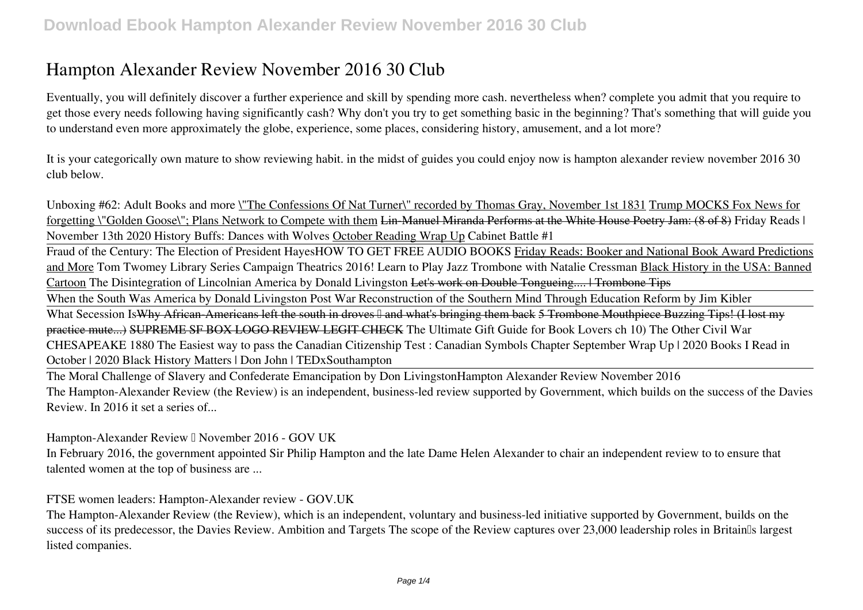# **Hampton Alexander Review November 2016 30 Club**

Eventually, you will definitely discover a further experience and skill by spending more cash. nevertheless when? complete you admit that you require to get those every needs following having significantly cash? Why don't you try to get something basic in the beginning? That's something that will guide you to understand even more approximately the globe, experience, some places, considering history, amusement, and a lot more?

It is your categorically own mature to show reviewing habit. in the midst of guides you could enjoy now is **hampton alexander review november 2016 30 club** below.

Unboxing #62: Adult Books and more \"The Confessions Of Nat Turner\" recorded by Thomas Gray, November 1st 1831 Trump MOCKS Fox News for forgetting \"Golden Goose\"; Plans Network to Compete with them Lin-Manuel Miranda Performs at the White House Poetry Jam: (8 of 8) **Friday Reads | November 13th 2020** *History Buffs: Dances with Wolves* October Reading Wrap Up *Cabinet Battle #1*

Fraud of the Century: The Election of President Hayes*HOW TO GET FREE AUDIO BOOKS* Friday Reads: Booker and National Book Award Predictions and More Tom Twomey Library Series Campaign Theatrics 2016! *Learn to Play Jazz Trombone with Natalie Cressman* Black History in the USA: Banned Cartoon The Disintegration of Lincolnian America by Donald Livingston Let's work on Double Tongueing.... | Trombone Tips

When the South Was America by Donald Livingston Post War Reconstruction of the Southern Mind Through Education Reform by Jim Kibler

What Secession IsWhy African Americans left the south in droves <sup>[]</sup> and what's bringing them back 5 Trombone Mouthpiece Buzzing Tips! (I lost my practice mute...) SUPREME SF BOX LOGO REVIEW LEGIT CHECK **The Ultimate Gift Guide for Book Lovers ch 10) The Other Civil War** *CHESAPEAKE 1880 The Easiest way to pass the Canadian Citizenship Test : Canadian Symbols Chapter September Wrap Up | 2020* **Books I Read in October | 2020** *Black History Matters | Don John | TEDxSouthampton*

The Moral Challenge of Slavery and Confederate Emancipation by Don Livingston*Hampton Alexander Review November 2016* The Hampton-Alexander Review (the Review) is an independent, business-led review supported by Government, which builds on the success of the Davies Review. In 2016 it set a series of...

*Hampton-Alexander Review – November 2016 - GOV UK*

In February 2016, the government appointed Sir Philip Hampton and the late Dame Helen Alexander to chair an independent review to to ensure that talented women at the top of business are ...

*FTSE women leaders: Hampton-Alexander review - GOV.UK*

The Hampton-Alexander Review (the Review), which is an independent, voluntary and business-led initiative supported by Government, builds on the success of its predecessor, the Davies Review. Ambition and Targets The scope of the Review captures over 23,000 leadership roles in Britain<sup>'s</sup> largest listed companies.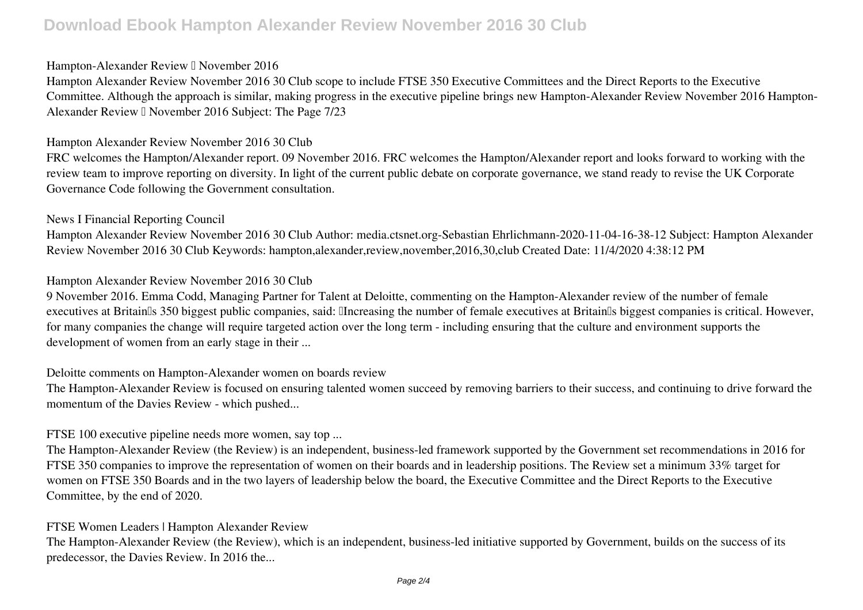# **Download Ebook Hampton Alexander Review November 2016 30 Club**

#### *Hampton-Alexander Review – November 2016*

Hampton Alexander Review November 2016 30 Club scope to include FTSE 350 Executive Committees and the Direct Reports to the Executive Committee. Although the approach is similar, making progress in the executive pipeline brings new Hampton-Alexander Review November 2016 Hampton-Alexander Review <sup>[]</sup> November 2016 Subject: The Page 7/23

#### *Hampton Alexander Review November 2016 30 Club*

FRC welcomes the Hampton/Alexander report. 09 November 2016. FRC welcomes the Hampton/Alexander report and looks forward to working with the review team to improve reporting on diversity. In light of the current public debate on corporate governance, we stand ready to revise the UK Corporate Governance Code following the Government consultation.

#### *News I Financial Reporting Council*

Hampton Alexander Review November 2016 30 Club Author: media.ctsnet.org-Sebastian Ehrlichmann-2020-11-04-16-38-12 Subject: Hampton Alexander Review November 2016 30 Club Keywords: hampton,alexander,review,november,2016,30,club Created Date: 11/4/2020 4:38:12 PM

#### *Hampton Alexander Review November 2016 30 Club*

9 November 2016. Emma Codd, Managing Partner for Talent at Deloitte, commenting on the Hampton-Alexander review of the number of female executives at Britain<sup>'s</sup> 350 biggest public companies, said: *Ilncreasing the number of female executives at Britain<sup>'s</sup> biggest companies is critical. However,* for many companies the change will require targeted action over the long term - including ensuring that the culture and environment supports the development of women from an early stage in their ...

#### *Deloitte comments on Hampton-Alexander women on boards review*

The Hampton-Alexander Review is focused on ensuring talented women succeed by removing barriers to their success, and continuing to drive forward the momentum of the Davies Review - which pushed...

### *FTSE 100 executive pipeline needs more women, say top ...*

The Hampton-Alexander Review (the Review) is an independent, business-led framework supported by the Government set recommendations in 2016 for FTSE 350 companies to improve the representation of women on their boards and in leadership positions. The Review set a minimum 33% target for women on FTSE 350 Boards and in the two layers of leadership below the board, the Executive Committee and the Direct Reports to the Executive Committee, by the end of 2020.

#### *FTSE Women Leaders | Hampton Alexander Review*

The Hampton-Alexander Review (the Review), which is an independent, business-led initiative supported by Government, builds on the success of its predecessor, the Davies Review. In 2016 the...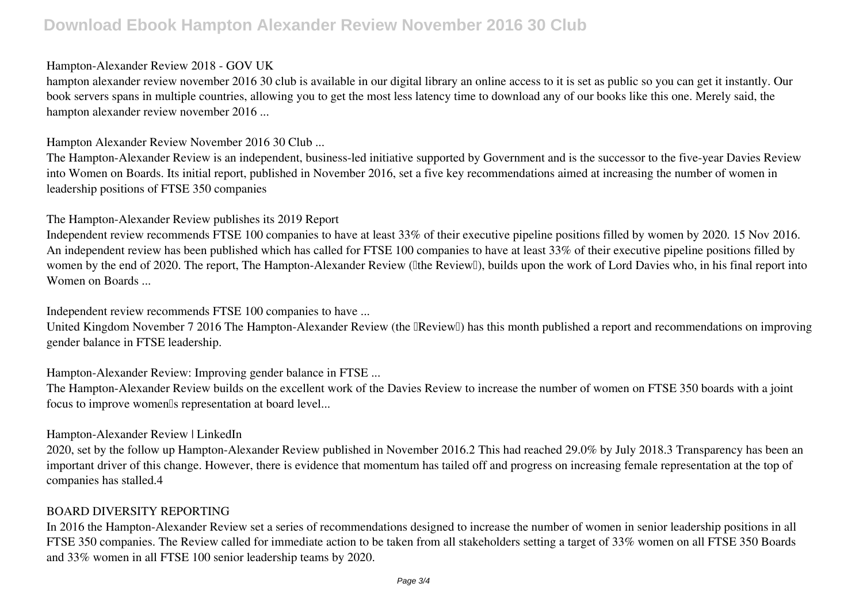## **Download Ebook Hampton Alexander Review November 2016 30 Club**

#### *Hampton-Alexander Review 2018 - GOV UK*

hampton alexander review november 2016 30 club is available in our digital library an online access to it is set as public so you can get it instantly. Our book servers spans in multiple countries, allowing you to get the most less latency time to download any of our books like this one. Merely said, the hampton alexander review november 2016 ...

*Hampton Alexander Review November 2016 30 Club ...*

The Hampton-Alexander Review is an independent, business-led initiative supported by Government and is the successor to the five-year Davies Review into Women on Boards. Its initial report, published in November 2016, set a five key recommendations aimed at increasing the number of women in leadership positions of FTSE 350 companies

#### *The Hampton-Alexander Review publishes its 2019 Report*

Independent review recommends FTSE 100 companies to have at least 33% of their executive pipeline positions filled by women by 2020. 15 Nov 2016. An independent review has been published which has called for FTSE 100 companies to have at least 33% of their executive pipeline positions filled by women by the end of 2020. The report, The Hampton-Alexander Review (Ithe ReviewI), builds upon the work of Lord Davies who, in his final report into Women on Boards ...

*Independent review recommends FTSE 100 companies to have ...*

United Kingdom November 7 2016 The Hampton-Alexander Review (the  $\mathbb{R}$ eview $\mathbb{I}$ ) has this month published a report and recommendations on improving gender balance in FTSE leadership.

*Hampton-Alexander Review: Improving gender balance in FTSE ...*

The Hampton-Alexander Review builds on the excellent work of the Davies Review to increase the number of women on FTSE 350 boards with a joint focus to improve women<sup>[]</sup>s representation at board level...

### *Hampton-Alexander Review | LinkedIn*

2020, set by the follow up Hampton-Alexander Review published in November 2016.2 This had reached 29.0% by July 2018.3 Transparency has been an important driver of this change. However, there is evidence that momentum has tailed off and progress on increasing female representation at the top of companies has stalled.4

### *BOARD DIVERSITY REPORTING*

In 2016 the Hampton-Alexander Review set a series of recommendations designed to increase the number of women in senior leadership positions in all FTSE 350 companies. The Review called for immediate action to be taken from all stakeholders setting a target of 33% women on all FTSE 350 Boards and 33% women in all FTSE 100 senior leadership teams by 2020.